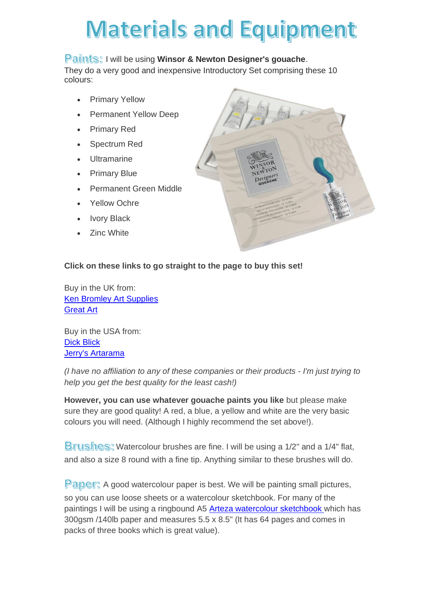# **Materials and Equipment**

## **Paints: I will be using Winsor & Newton Designer's gouache.**

They do a very good and inexpensive Introductory Set comprising these 10 colours:

- **Primary Yellow**
- Permanent Yellow Deep
- Primary Red
- Spectrum Red
- **Ultramarine**
- Primary Blue
- Permanent Green Middle
- Yellow Ochre
- **Ivory Black**
- **Zinc White**



## **Click on these links to go straight to the page to buy this set!**

Buy in the UK from: [Ken Bromley Art Supplies](https://www.artsupplies.co.uk/item-designers-gouache-introduction-set.htm) [Great Art](https://www.greatart.co.uk/winsor-newton-designers-gouache-intro-set.html)

Buy in the USA from: Dick [Blick](https://www.dickblick.com/items/winsor-newton-designers-gouache-introductory-set-set-of-10-colors-14-ml-tubes/) [Jerry's Artarama](https://www.jerrysartarama.com/winsor-newton-designers-gouache-sets)

*(I have no affiliation to any of these companies or their products - I'm just trying to help you get the best quality for the least cash!)*

**However, you can use whatever gouache paints you like** but please make sure they are good quality! A red, a blue, a yellow and white are the very basic colours you will need. (Although I highly recommend the set above!).

Brushes: Watercolour brushes are fine. I will be using a 1/2" and a 1/4" flat, and also a size 8 round with a fine tip. Anything similar to these brushes will do.

**Paper:** A good watercolour paper is best. We will be painting small pictures, so you can use loose sheets or a watercolour sketchbook. For many of the paintings I will be using a ringbound A5 [Arteza watercolour sketchbook](https://arteza.co.uk/dp/watercolour-book-hard-cover-5-5x8-5-in-32-sheets-300-gsm-spiral-bound-black-3-pack) which has 300gsm /140lb paper and measures 5.5 x 8.5" (It has 64 pages and comes in packs of three books which is great value).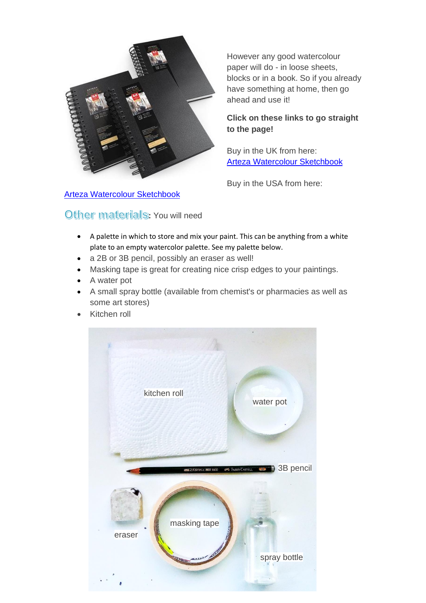

[Arteza Watercolour Sketchbook](https://arteza.com/dp/spiral-bound-watercolor-book-3)

Other materials: You will need

However any good watercolour paper will do - in loose sheets, blocks or in a book. So if you already have something at home, then go ahead and use it!

#### **Click on these links to go straight to the page!**

Buy in the UK from here: [Arteza Watercolour Sketchbook](https://arteza.co.uk/dp/watercolour-book-hard-cover-5-5x8-5-in-32-sheets-300-gsm-spiral-bound-black-3-pack)

[B](https://arteza.co.uk/dp/watercolour-book-hard-cover-5-5x8-5-in-32-sheets-300-gsm-spiral-bound-black-3-pack)uy in the USA from here:

- A palette in which to store and mix your paint. This can be anything from a white plate to an empty watercolor palette. See my palette below.
- a 2B or 3B pencil, possibly an eraser as well!
- Masking tape is great for creating nice crisp edges to your paintings.
- A water pot
- A small spray bottle (available from chemist's or pharmacies as well as some art stores)
- Kitchen roll